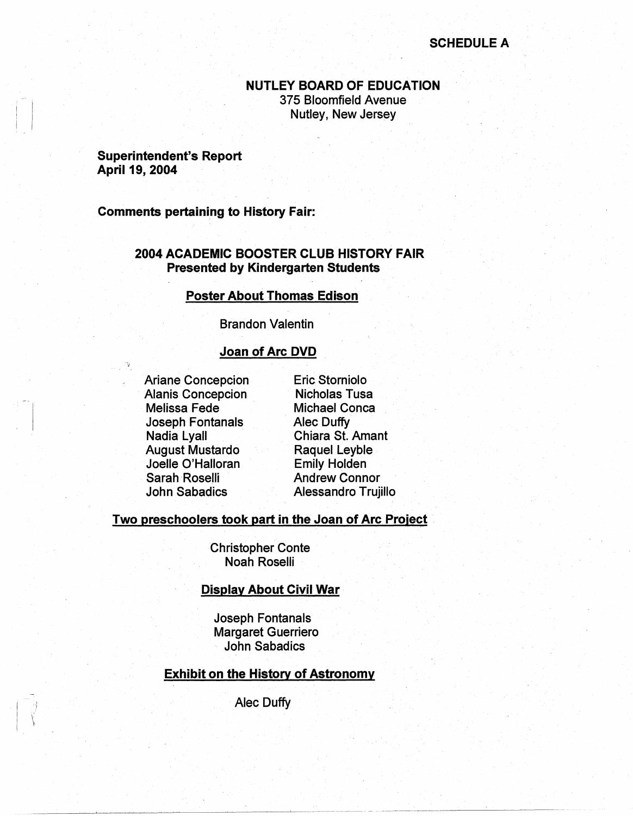## **SCHEDULE A**

---- ~------------ ~~~~~~·

## **NUTLEY BOARD OF EDUCATION**  375 Bloomfield Avenue Nutley, New Jersey

#### **Superintendent's Report April 19, 2004**

**Comments pertaining to History Fair:** 

## **2004 ACADEMIC BOOSTER CLUB HISTORY FAIR Presented by Kindergarten Students**

#### **Poster About Thomas Edison**

Brandon Valentin

#### **Joan of Arc DVD**

Ariane Concepcion Alanis Concepcion Melissa Fede Joseph Fontanals Nadia Lyall August Mustardo Joelle O'Halloran Sarah Roselli John Sabadics

 $\mathcal{L}$ 

Eric Storniolo Nicholas Tusa Michael Conca Alec Duffy Chiara St. Amant Raquel Leyble Emily Holden Andrew Connor Alessandro Trujillo

#### **Two preschoolers took part in the Joan of Arc Proiect**

Christopher Conte Noah Roselli

#### **Display About Civil War**

Joseph Fontanals Margaret Guerriero John Sabadics

## **Exhibit on the History of Astronomy**

Alec Duffy